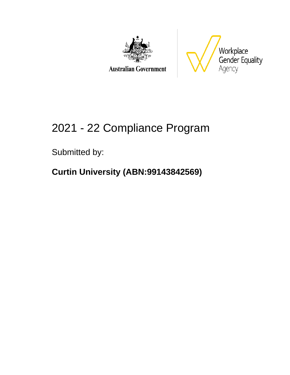



# 2021 - 22 Compliance Program

Submitted by:

### **Curtin University (ABN:99143842569)**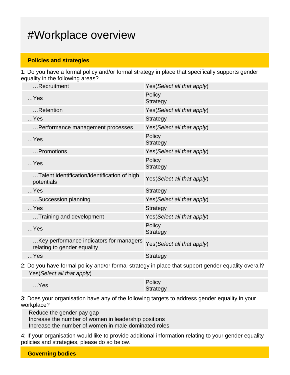## #Workplace overview

#### **Policies and strategies**

1: Do you have a formal policy and/or formal strategy in place that specifically supports gender equality in the following areas?

| Recruitment                                                            | Yes(Select all that apply) |
|------------------------------------------------------------------------|----------------------------|
| $$ Yes                                                                 | Policy<br><b>Strategy</b>  |
| Retention                                                              | Yes(Select all that apply) |
| $$ Yes                                                                 | <b>Strategy</b>            |
| Performance management processes                                       | Yes(Select all that apply) |
| $$ Yes                                                                 | Policy<br><b>Strategy</b>  |
| Promotions                                                             | Yes(Select all that apply) |
| $$ Yes                                                                 | Policy<br><b>Strategy</b>  |
| Talent identification/identification of high<br>potentials             | Yes(Select all that apply) |
| $$ Yes                                                                 | <b>Strategy</b>            |
| Succession planning                                                    | Yes(Select all that apply) |
| $$ Yes                                                                 | <b>Strategy</b>            |
| Training and development                                               | Yes(Select all that apply) |
| $$ Yes                                                                 | Policy<br><b>Strategy</b>  |
| Key performance indicators for managers<br>relating to gender equality | Yes(Select all that apply) |
| $$ Yes                                                                 | <b>Strategy</b>            |

2: Do you have formal policy and/or formal strategy in place that support gender equality overall? Yes(Select all that apply)

|        | Policy   |
|--------|----------|
| $$ Yes | Strategy |

3: Does your organisation have any of the following targets to address gender equality in your workplace?

Reduce the gender pay gap Increase the number of women in leadership positions Increase the number of women in male-dominated roles

4: If your organisation would like to provide additional information relating to your gender equality policies and strategies, please do so below.

**Governing bodies**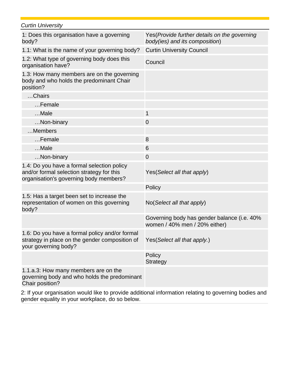| <b>Curtin University</b>                                                                                                          |                                                                                 |
|-----------------------------------------------------------------------------------------------------------------------------------|---------------------------------------------------------------------------------|
| 1: Does this organisation have a governing<br>body?                                                                               | Yes (Provide further details on the governing<br>body(ies) and its composition) |
| 1.1: What is the name of your governing body?                                                                                     | <b>Curtin University Council</b>                                                |
| 1.2: What type of governing body does this<br>organisation have?                                                                  | Council                                                                         |
| 1.3: How many members are on the governing<br>body and who holds the predominant Chair<br>position?                               |                                                                                 |
| Chairs                                                                                                                            |                                                                                 |
| Female                                                                                                                            |                                                                                 |
| Male                                                                                                                              | 1                                                                               |
| Non-binary                                                                                                                        | 0                                                                               |
| Members                                                                                                                           |                                                                                 |
| Female                                                                                                                            | 8                                                                               |
| Male                                                                                                                              | 6                                                                               |
| Non-binary                                                                                                                        | 0                                                                               |
| 1.4: Do you have a formal selection policy<br>and/or formal selection strategy for this<br>organisation's governing body members? | Yes (Select all that apply)                                                     |
|                                                                                                                                   | Policy                                                                          |
| 1.5: Has a target been set to increase the<br>representation of women on this governing<br>body?                                  | No(Select all that apply)                                                       |
|                                                                                                                                   | Governing body has gender balance (i.e. 40%<br>women / 40% men / 20% either)    |
| 1.6: Do you have a formal policy and/or formal<br>strategy in place on the gender composition of<br>your governing body?          | Yes (Select all that apply.)                                                    |
|                                                                                                                                   | Policy<br><b>Strategy</b>                                                       |
| 1.1.a.3: How many members are on the<br>governing body and who holds the predominant<br>Chair position?                           |                                                                                 |
|                                                                                                                                   |                                                                                 |

2: If your organisation would like to provide additional information relating to governing bodies and gender equality in your workplace, do so below.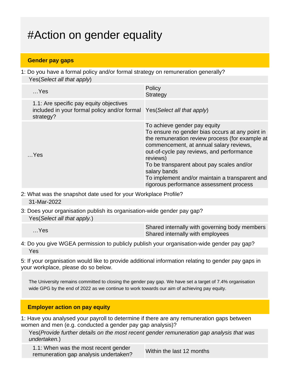## #Action on gender equality

#### **Gender pay gaps**

1: Do you have a formal policy and/or formal strategy on remuneration generally? Yes(Select all that apply)

| $$ Yes                                                                                                                           | Policy<br><b>Strategy</b>                                                                                                                                                                                                                                                                                                                                                                        |
|----------------------------------------------------------------------------------------------------------------------------------|--------------------------------------------------------------------------------------------------------------------------------------------------------------------------------------------------------------------------------------------------------------------------------------------------------------------------------------------------------------------------------------------------|
| 1.1: Are specific pay equity objectives<br>included in your formal policy and/or formal Yes (Select all that apply)<br>strategy? |                                                                                                                                                                                                                                                                                                                                                                                                  |
| $$ Yes                                                                                                                           | To achieve gender pay equity<br>To ensure no gender bias occurs at any point in<br>the remuneration review process (for example at<br>commencement, at annual salary reviews,<br>out-of-cycle pay reviews, and performance<br>reviews)<br>To be transparent about pay scales and/or<br>salary bands<br>To implement and/or maintain a transparent and<br>rigorous performance assessment process |

- 2: What was the snapshot date used for your Workplace Profile? 31-Mar-2022
- 3: Does your organisation publish its organisation-wide gender pay gap? Yes(Select all that apply.)

#### 4: Do you give WGEA permission to publicly publish your organisation-wide gender pay gap? Yes

5: If your organisation would like to provide additional information relating to gender pay gaps in your workplace, please do so below.

The University remains committed to closing the gender pay gap. We have set a target of 7.4% organisation wide GPG by the end of 2022 as we continue to work towards our aim of achieving pay equity.

#### **Employer action on pay equity**

1: Have you analysed your payroll to determine if there are any remuneration gaps between women and men (e.g. conducted a gender pay gap analysis)?

Yes(Provide further details on the most recent gender remuneration gap analysis that was undertaken.)

1.1: When was the most recent gender T.T. When was the most recent genuer<br>remuneration gap analysis undertaken?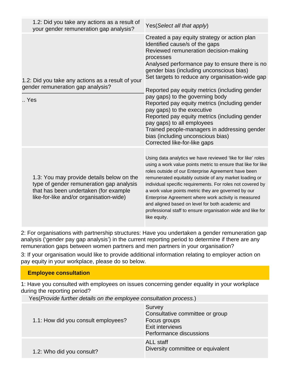| 1.2: Did you take any actions as a result of<br>your gender remuneration gap analysis?                                                                                    | Yes(Select all that apply)                                                                                                                                                                                                                                                                                                                                                                                                                                                                                                                                                                                                                                   |
|---------------------------------------------------------------------------------------------------------------------------------------------------------------------------|--------------------------------------------------------------------------------------------------------------------------------------------------------------------------------------------------------------------------------------------------------------------------------------------------------------------------------------------------------------------------------------------------------------------------------------------------------------------------------------------------------------------------------------------------------------------------------------------------------------------------------------------------------------|
| 1.2: Did you take any actions as a result of your<br>gender remuneration gap analysis?<br>Yes                                                                             | Created a pay equity strategy or action plan<br>Identified cause/s of the gaps<br>Reviewed remuneration decision-making<br>processes<br>Analysed performance pay to ensure there is no<br>gender bias (including unconscious bias)<br>Set targets to reduce any organisation-wide gap<br>Reported pay equity metrics (including gender<br>pay gaps) to the governing body<br>Reported pay equity metrics (including gender<br>pay gaps) to the executive<br>Reported pay equity metrics (including gender<br>pay gaps) to all employees<br>Trained people-managers in addressing gender<br>bias (including unconscious bias)<br>Corrected like-for-like gaps |
| 1.3: You may provide details below on the<br>type of gender remuneration gap analysis<br>that has been undertaken (for example<br>like-for-like and/or organisation-wide) | Using data analytics we have reviewed 'like for like' roles<br>using a work value points metric to ensure that like for like<br>roles outside of our Enterprise Agreement have been<br>remunerated equitably outside of any market loading or<br>individual specific requirements. For roles not covered by<br>a work value points metric they are governed by our<br>Enterprise Agreement where work activity is measured<br>and aligned based on level for both academic and<br>professional staff to ensure organisation wide and like for<br>like equity.                                                                                                |

2: For organisations with partnership structures: Have you undertaken a gender remuneration gap analysis ('gender pay gap analysis') in the current reporting period to determine if there are any remuneration gaps between women partners and men partners in your organisation?

3: If your organisation would like to provide additional information relating to employer action on pay equity in your workplace, please do so below.

#### **Employee consultation**

1: Have you consulted with employees on issues concerning gender equality in your workplace during the reporting period?

Yes(Provide further details on the employee consultation process.)

| 1.1: How did you consult employees? | Survey<br>Consultative committee or group<br>Focus groups<br><b>Exit interviews</b><br>Performance discussions |
|-------------------------------------|----------------------------------------------------------------------------------------------------------------|
| 1.2: Who did you consult?           | <b>ALL</b> staff<br>Diversity committee or equivalent                                                          |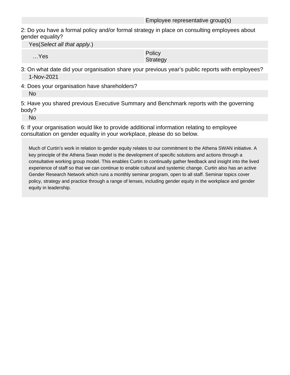2: Do you have a formal policy and/or formal strategy in place on consulting employees about gender equality?

Yes(Select all that apply.)

…Yes Policy Policy Product in the Policy Policy Product in the Policy Product in the Policy Product in the Policy Product in the Policy Product in the Policy Product in the Policy Product in the Policy Product in the Polic **Strategy** 

- 3: On what date did your organisation share your previous year's public reports with employees? 1-Nov-2021
- 4: Does your organisation have shareholders? No

5: Have you shared previous Executive Summary and Benchmark reports with the governing body?

No

6: If your organisation would like to provide additional information relating to employee consultation on gender equality in your workplace, please do so below.

Much of Curtin's work in relation to gender equity relates to our commitment to the Athena SWAN initiative. A key principle of the Athena Swan model is the development of specific solutions and actions through a consultative working group model. This enables Curtin to continually gather feedback and insight into the lived experience of staff so that we can continue to enable cultural and systemic change. Curtin also has an active Gender Research Network which runs a monthly seminar program, open to all staff. Seminar topics cover policy, strategy and practice through a range of lenses, including gender equity in the workplace and gender equity in leadership.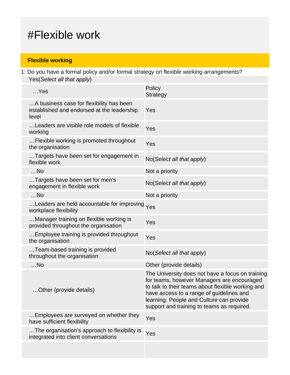## #Flexible work

#### **Flexible working**

1: Do you have a formal policy and/or formal strategy on flexible working arrangements? Yes(Select all that apply)

| $$ Yes                                                                                          | Policy<br><b>Strategy</b>                                                                                                                                                                                                                                                                 |
|-------------------------------------------------------------------------------------------------|-------------------------------------------------------------------------------------------------------------------------------------------------------------------------------------------------------------------------------------------------------------------------------------------|
| A business case for flexibility has been<br>established and endorsed at the leadership<br>level | Yes                                                                                                                                                                                                                                                                                       |
| Leaders are visible role models of flexible<br>working                                          | Yes                                                                                                                                                                                                                                                                                       |
| Flexible working is promoted throughout<br>the organisation                                     | Yes                                                                                                                                                                                                                                                                                       |
| Targets have been set for engagement in<br>flexible work                                        | No(Select all that apply)                                                                                                                                                                                                                                                                 |
| $$ No                                                                                           | Not a priority                                                                                                                                                                                                                                                                            |
| Targets have been set for men's<br>engagement in flexible work                                  | No(Select all that apply)                                                                                                                                                                                                                                                                 |
| $$ No                                                                                           | Not a priority                                                                                                                                                                                                                                                                            |
| Leaders are held accountable for improving Yes<br>workplace flexibility                         |                                                                                                                                                                                                                                                                                           |
| Manager training on flexible working is<br>provided throughout the organisation                 | Yes                                                                                                                                                                                                                                                                                       |
| Employee training is provided throughout<br>the organisation                                    | Yes                                                                                                                                                                                                                                                                                       |
| Team-based training is provided<br>throughout the organisation                                  | No(Select all that apply)                                                                                                                                                                                                                                                                 |
| $$ No                                                                                           | Other (provide details)                                                                                                                                                                                                                                                                   |
| Other (provide details)                                                                         | The University does not have a focus on training<br>for teams, however Managers are encouraged<br>to talk to their teams about flexible working and<br>have access to a range of guidelines and<br>learning. People and Culture can provide<br>support and training to teams as required. |
| Employees are surveyed on whether they<br>have sufficient flexibility                           | Yes                                                                                                                                                                                                                                                                                       |
| The organisation's approach to flexibility is<br>integrated into client conversations           | Yes                                                                                                                                                                                                                                                                                       |
|                                                                                                 |                                                                                                                                                                                                                                                                                           |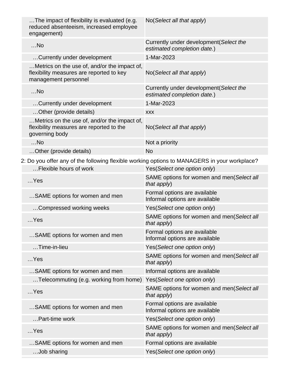| The impact of flexibility is evaluated (e.g.<br>reduced absenteeism, increased employee<br>engagement)           | No(Select all that apply)                                              |
|------------------------------------------------------------------------------------------------------------------|------------------------------------------------------------------------|
| $$ No                                                                                                            | Currently under development (Select the<br>estimated completion date.) |
| Currently under development                                                                                      | 1-Mar-2023                                                             |
| Metrics on the use of, and/or the impact of,<br>flexibility measures are reported to key<br>management personnel | No(Select all that apply)                                              |
| $$ No                                                                                                            | Currently under development (Select the<br>estimated completion date.) |
| Currently under development                                                                                      | 1-Mar-2023                                                             |
| Other (provide details)                                                                                          | <b>XXX</b>                                                             |
| Metrics on the use of, and/or the impact of,<br>flexibility measures are reported to the<br>governing body       | No(Select all that apply)                                              |
| $$ No                                                                                                            | Not a priority                                                         |
| Other (provide details)                                                                                          | <b>No</b>                                                              |
| 2: Do you offer any of the following flexible working options to MANAGERS in your workplace?                     |                                                                        |
| Flexible hours of work                                                                                           | Yes(Select one option only)                                            |
| $$ Yes                                                                                                           | SAME options for women and men(Select all<br>that apply)               |
| SAME options for women and men                                                                                   | Formal options are available<br>Informal options are available         |
| Compressed working weeks                                                                                         | Yes(Select one option only)                                            |
| $$ Yes                                                                                                           | SAME options for women and men(Select all<br>that apply)               |
| SAME options for women and men                                                                                   | Formal options are available<br>Informal options are available         |
| Time-in-lieu                                                                                                     | Yes(Select one option only)                                            |
| $$ Yes                                                                                                           | SAME options for women and men(Select all<br>that apply)               |
| SAME options for women and men                                                                                   | Informal options are available                                         |
| Telecommuting (e.g. working from home)                                                                           | Yes(Select one option only)                                            |
| $$ Yes                                                                                                           | SAME options for women and men(Select all<br>that apply)               |
| SAME options for women and men                                                                                   | Formal options are available<br>Informal options are available         |
| Part-time work                                                                                                   | Yes(Select one option only)                                            |
| $$ Yes                                                                                                           | SAME options for women and men(Select all<br>that apply)               |
| SAME options for women and men                                                                                   | Formal options are available                                           |
| Job sharing                                                                                                      | Yes(Select one option only)                                            |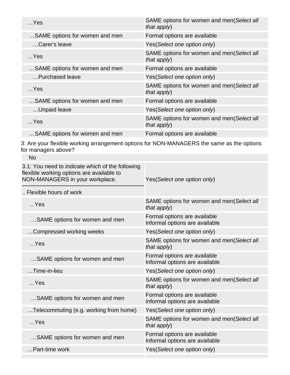| $$ Yes                         | SAME options for women and men(Select all<br>that apply) |
|--------------------------------|----------------------------------------------------------|
| SAME options for women and men | Formal options are available                             |
| Carer's leave                  | Yes (Select one option only)                             |
| Yes                            | SAME options for women and men(Select all<br>that apply) |
| SAME options for women and men | Formal options are available                             |
| Purchased leave                | Yes (Select one option only)                             |
| $$ Yes                         | SAME options for women and men(Select all<br>that apply) |
| SAME options for women and men | Formal options are available                             |
| Unpaid leave                   | Yes (Select one option only)                             |
| $$ Yes                         | SAME options for women and men(Select all<br>that apply) |
| SAME options for women and men | Formal options are available                             |

3: Are your flexible working arrangement options for NON-MANAGERS the same as the options for managers above?

| <b>No</b>                                                                                                                        |                                                                |
|----------------------------------------------------------------------------------------------------------------------------------|----------------------------------------------------------------|
| 3.1: You need to indicate which of the following<br>flexible working options are available to<br>NON-MANAGERS in your workplace. | Yes(Select one option only)                                    |
| Flexible hours of work                                                                                                           |                                                                |
| $$ Yes                                                                                                                           | SAME options for women and men(Select all<br>that $apply$ )    |
| SAME options for women and men                                                                                                   | Formal options are available<br>Informal options are available |
| Compressed working weeks                                                                                                         | Yes(Select one option only)                                    |
| $$ Yes                                                                                                                           | SAME options for women and men(Select all<br>that apply)       |
| SAME options for women and men                                                                                                   | Formal options are available<br>Informal options are available |
| Time-in-lieu                                                                                                                     | Yes(Select one option only)                                    |
| $$ Yes                                                                                                                           | SAME options for women and men(Select all<br>that apply)       |
| SAME options for women and men                                                                                                   | Formal options are available<br>Informal options are available |
| Telecommuting (e.g. working from home)                                                                                           | Yes(Select one option only)                                    |
| $$ Yes                                                                                                                           | SAME options for women and men(Select all<br>that apply)       |
| SAME options for women and men                                                                                                   | Formal options are available<br>Informal options are available |
| Part-time work                                                                                                                   | Yes(Select one option only)                                    |
|                                                                                                                                  |                                                                |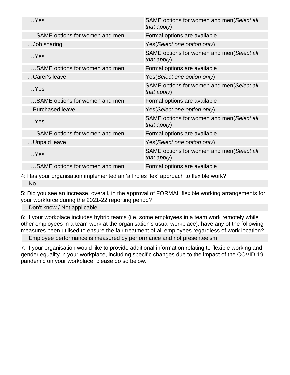| $$ Yes                         | SAME options for women and men(Select all<br>that apply) |
|--------------------------------|----------------------------------------------------------|
| SAME options for women and men | Formal options are available                             |
| Job sharing                    | Yes(Select one option only)                              |
| $$ Yes                         | SAME options for women and men(Select all<br>that apply) |
| SAME options for women and men | Formal options are available                             |
| Carer's leave                  | Yes(Select one option only)                              |
| $$ Yes                         | SAME options for women and men(Select all<br>that apply) |
| SAME options for women and men | Formal options are available                             |
| Purchased leave                | Yes(Select one option only)                              |
| $$ Yes                         | SAME options for women and men(Select all<br>that apply) |
| SAME options for women and men | Formal options are available                             |
| Unpaid leave                   | Yes(Select one option only)                              |
| $$ Yes                         | SAME options for women and men(Select all<br>that apply) |
| SAME options for women and men | Formal options are available                             |
|                                |                                                          |

4: Has your organisation implemented an 'all roles flex' approach to flexible work? No

5: Did you see an increase, overall, in the approval of FORMAL flexible working arrangements for your workforce during the 2021-22 reporting period?

Don't know / Not applicable

6: If your workplace includes hybrid teams (i.e. some employees in a team work remotely while other employees in a team work at the organisation's usual workplace), have any of the following measures been utilised to ensure the fair treatment of all employees regardless of work location?

Employee performance is measured by performance and not presenteeism

7: If your organisation would like to provide additional information relating to flexible working and gender equality in your workplace, including specific changes due to the impact of the COVID-19 pandemic on your workplace, please do so below.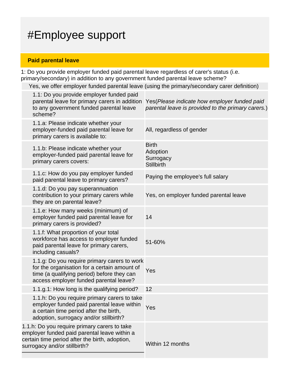## #Employee support

#### **Paid parental leave**

1: Do you provide employer funded paid parental leave regardless of carer's status (i.e. primary/secondary) in addition to any government funded parental leave scheme?

Yes, we offer employer funded parental leave (using the primary/secondary carer definition)

|                                                                                                                                                                                | 1.1: Do you provide employer funded paid<br>parental leave for primary carers in addition<br>to any government funded parental leave<br>scheme?                                      | Yes (Please indicate how employer funded paid<br>parental leave is provided to the primary carers.) |
|--------------------------------------------------------------------------------------------------------------------------------------------------------------------------------|--------------------------------------------------------------------------------------------------------------------------------------------------------------------------------------|-----------------------------------------------------------------------------------------------------|
|                                                                                                                                                                                | 1.1.a: Please indicate whether your<br>employer-funded paid parental leave for<br>primary carers is available to:                                                                    | All, regardless of gender                                                                           |
|                                                                                                                                                                                | 1.1.b: Please indicate whether your<br>employer-funded paid parental leave for<br>primary carers covers:                                                                             | <b>Birth</b><br>Adoption<br>Surrogacy<br><b>Stillbirth</b>                                          |
|                                                                                                                                                                                | 1.1.c: How do you pay employer funded<br>paid parental leave to primary carers?                                                                                                      | Paying the employee's full salary                                                                   |
|                                                                                                                                                                                | 1.1.d: Do you pay superannuation<br>contribution to your primary carers while<br>they are on parental leave?                                                                         | Yes, on employer funded parental leave                                                              |
|                                                                                                                                                                                | 1.1.e: How many weeks (minimum) of<br>employer funded paid parental leave for<br>primary carers is provided?                                                                         | 14                                                                                                  |
|                                                                                                                                                                                | 1.1.f: What proportion of your total<br>workforce has access to employer funded<br>paid parental leave for primary carers,<br>including casuals?                                     | 51-60%                                                                                              |
|                                                                                                                                                                                | 1.1.g: Do you require primary carers to work<br>for the organisation for a certain amount of<br>time (a qualifying period) before they can<br>access employer funded parental leave? | Yes                                                                                                 |
|                                                                                                                                                                                | 1.1.g.1: How long is the qualifying period?                                                                                                                                          | 12                                                                                                  |
|                                                                                                                                                                                | 1.1.h: Do you require primary carers to take<br>employer funded paid parental leave within<br>a certain time period after the birth,<br>adoption, surrogacy and/or stillbirth?       | Yes                                                                                                 |
| 1.1.h: Do you require primary carers to take<br>employer funded paid parental leave within a<br>certain time period after the birth, adoption,<br>surrogacy and/or stillbirth? |                                                                                                                                                                                      | Within 12 months                                                                                    |
|                                                                                                                                                                                |                                                                                                                                                                                      |                                                                                                     |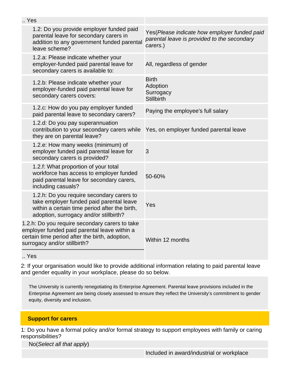| Yes                                                                                                                                                                              |                                                                                                         |
|----------------------------------------------------------------------------------------------------------------------------------------------------------------------------------|---------------------------------------------------------------------------------------------------------|
| 1.2: Do you provide employer funded paid<br>parental leave for secondary carers in<br>addition to any government funded parental<br>leave scheme?                                | Yes(Please indicate how employer funded paid<br>parental leave is provided to the secondary<br>carers.) |
| 1.2.a: Please indicate whether your<br>employer-funded paid parental leave for<br>secondary carers is available to:                                                              | All, regardless of gender                                                                               |
| 1.2.b: Please indicate whether your<br>employer-funded paid parental leave for<br>secondary carers covers:                                                                       | <b>Birth</b><br>Adoption<br>Surrogacy<br><b>Stillbirth</b>                                              |
| 1.2.c: How do you pay employer funded<br>paid parental leave to secondary carers?                                                                                                | Paying the employee's full salary                                                                       |
| 1.2.d: Do you pay superannuation<br>contribution to your secondary carers while<br>they are on parental leave?                                                                   | Yes, on employer funded parental leave                                                                  |
| 1.2.e: How many weeks (minimum) of<br>employer funded paid parental leave for<br>secondary carers is provided?                                                                   | 3                                                                                                       |
| 1.2.f: What proportion of your total<br>workforce has access to employer funded<br>paid parental leave for secondary carers,<br>including casuals?                               | 50-60%                                                                                                  |
| 1.2.h: Do you require secondary carers to<br>take employer funded paid parental leave<br>within a certain time period after the birth,<br>adoption, surrogacy and/or stillbirth? | Yes                                                                                                     |
| 1.2.h: Do you require secondary carers to take<br>employer funded paid parental leave within a<br>certain time period after the birth, adoption,<br>surrogacy and/or stillbirth? | Within 12 months                                                                                        |
|                                                                                                                                                                                  |                                                                                                         |

.. Yes

2: If your organisation would like to provide additional information relating to paid parental leave and gender equality in your workplace, please do so below.

The University is currently renegotiating its Enterprise Agreement. Parental leave provisions included in the Enterprise Agreement are being closely assessed to ensure they reflect the University's commitment to gender equity, diversity and inclusion.

#### **Support for carers**

1: Do you have a formal policy and/or formal strategy to support employees with family or caring responsibilities?

No(Select all that apply)

Included in award/industrial or workplace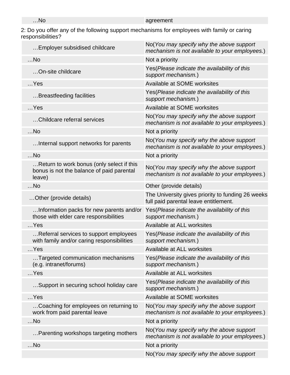| $$ No | ogroomont<br>eement<br>-- |
|-------|---------------------------|
|       |                           |

2: Do you offer any of the following support mechanisms for employees with family or caring responsibilities?

| Employer subsidised childcare                                                                    | No(You may specify why the above support<br>mechanism is not available to your employees.) |
|--------------------------------------------------------------------------------------------------|--------------------------------------------------------------------------------------------|
| $$ No                                                                                            | Not a priority                                                                             |
| On-site childcare                                                                                | Yes (Please indicate the availability of this<br>support mechanism.)                       |
| $$ Yes                                                                                           | Available at SOME worksites                                                                |
| Breastfeeding facilities                                                                         | Yes(Please indicate the availability of this<br>support mechanism.)                        |
| $$ Yes                                                                                           | Available at SOME worksites                                                                |
| Childcare referral services                                                                      | No(You may specify why the above support<br>mechanism is not available to your employees.) |
| $$ No                                                                                            | Not a priority                                                                             |
| Internal support networks for parents                                                            | No(You may specify why the above support<br>mechanism is not available to your employees.) |
| $$ No                                                                                            | Not a priority                                                                             |
| Return to work bonus (only select if this<br>bonus is not the balance of paid parental<br>leave) | No(You may specify why the above support<br>mechanism is not available to your employees.) |
| $$ No                                                                                            | Other (provide details)                                                                    |
| Other (provide details)                                                                          | The University gives priority to funding 26 weeks<br>full paid parental leave entitlement. |
| Information packs for new parents and/or<br>those with elder care responsibilities               | Yes(Please indicate the availability of this<br>support mechanism.)                        |
| $$ Yes                                                                                           | Available at ALL worksites                                                                 |
| Referral services to support employees<br>with family and/or caring responsibilities             | Yes(Please indicate the availability of this<br>support mechanism.)                        |
| $$ Yes                                                                                           | Available at ALL worksites                                                                 |
| Targeted communication mechanisms<br>(e.g. intranet/forums)                                      | Yes (Please indicate the availability of this<br>support mechanism.)                       |
| $$ Yes                                                                                           | Available at ALL worksites                                                                 |
| Support in securing school holiday care                                                          | Yes(Please indicate the availability of this<br>support mechanism.)                        |
| $$ Yes                                                                                           | Available at SOME worksites                                                                |
| Coaching for employees on returning to<br>work from paid parental leave                          | No(You may specify why the above support<br>mechanism is not available to your employees.) |
| $$ No                                                                                            | Not a priority                                                                             |
| Parenting workshops targeting mothers                                                            | No(You may specify why the above support<br>mechanism is not available to your employees.) |
| $$ No                                                                                            | Not a priority                                                                             |
|                                                                                                  | No(You may specify why the above support                                                   |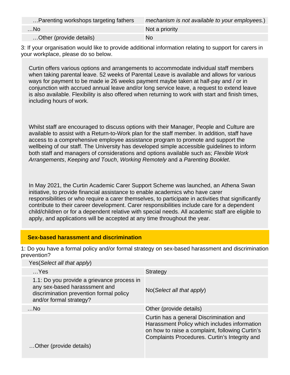| Parenting workshops targeting fathers | mechanism is not available to your employees.) |
|---------------------------------------|------------------------------------------------|
| . No                                  | Not a priority                                 |
| Other (provide details)               | No                                             |

3: If your organisation would like to provide additional information relating to support for carers in your workplace, please do so below.

Curtin offers various options and arrangements to accommodate individual staff members when taking parental leave. 52 weeks of Parental Leave is available and allows for various ways for payment to be made ie 26 weeks payment maybe taken at half-pay and / or in conjunction with accrued annual leave and/or long service leave, a request to extend leave is also available. Flexibility is also offered when returning to work with start and finish times, including hours of work.

Whilst staff are encouraged to discuss options with their Manager, People and Culture are available to assist with a Return-to-Work plan for the staff member. In addition, staff have access to a comprehensive employee assistance program to promote and support the wellbeing of our staff. The University has developed simple accessible guidelines to inform both staff and managers of considerations and options available such as; Flexible Work Arrangements, Keeping and Touch, Working Remotely and a Parenting Booklet.

In May 2021, the Curtin Academic Carer Support Scheme was launched, an Athena Swan initiative, to provide financial assistance to enable academics who have carer responsibilities or who require a carer themselves, to participate in activities that significantly contribute to their career development. Carer responsibilities include care for a dependent child/children or for a dependent relative with special needs. All academic staff are eligible to apply, and applications will be accepted at any time throughout the year.

#### **Sex-based harassment and discrimination**

1: Do you have a formal policy and/or formal strategy on sex-based harassment and discrimination prevention? Yes(Select all that apply)

| Yes (Select all that apply)                                                                                                                       |                                                                                                                                                                                             |
|---------------------------------------------------------------------------------------------------------------------------------------------------|---------------------------------------------------------------------------------------------------------------------------------------------------------------------------------------------|
| $$ Yes                                                                                                                                            | <b>Strategy</b>                                                                                                                                                                             |
| 1.1: Do you provide a grievance process in<br>any sex-based harasssment and<br>discrimination prevention formal policy<br>and/or formal strategy? | $No(Select \textit{all} that apply)$                                                                                                                                                        |
| $$ No                                                                                                                                             | Other (provide details)                                                                                                                                                                     |
|                                                                                                                                                   | Curtin has a general Discrimination and<br>Harassment Policy which includes information<br>on how to raise a complaint, following Curtin's<br>Complaints Procedures. Curtin's Integrity and |
| Other (provide details)                                                                                                                           |                                                                                                                                                                                             |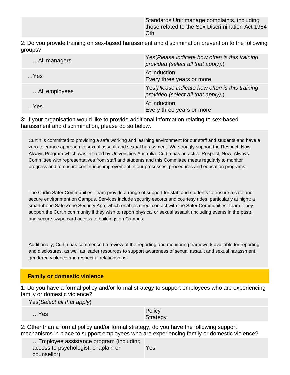Standards Unit manage complaints, including those related to the Sex Discrimination Act 1984 **Cth** 

2: Do you provide training on sex-based harassment and discrimination prevention to the following groups?

| All managers  | Yes (Please indicate how often is this training<br>provided (select all that apply):) |
|---------------|---------------------------------------------------------------------------------------|
| $$ Yes        | At induction<br>Every three years or more                                             |
| All employees | Yes (Please indicate how often is this training<br>provided (select all that apply):) |
| $$ Yes        | At induction<br>Every three years or more                                             |

3: If your organisation would like to provide additional information relating to sex-based harassment and discrimination, please do so below.

Curtin is committed to providing a safe working and learning environment for our staff and students and have a zero-tolerance approach to sexual assault and sexual harassment. We strongly support the Respect, Now, Always Program which was initiated by Universities Australia. Curtin has an active Respect, Now, Always Committee with representatives from staff and students and this Committee meets regularly to monitor progress and to ensure continuous improvement in our processes, procedures and education programs.

The Curtin Safer Communities Team provide a range of support for staff and students to ensure a safe and secure environment on Campus. Services include security escorts and courtesy rides, particularly at night; a smartphone Safe Zone Security App, which enables direct contact with the Safer Communities Team. They support the Curtin community if they wish to report physical or sexual assault (including events in the past); and secure swipe card access to buildings on Campus.

Additionally, Curtin has commenced a review of the reporting and monitoring framework available for reporting and disclosures, as well as leader resources to support awareness of sexual assault and sexual harassment, gendered violence and respectful relationships.

#### **Family or domestic violence**

1: Do you have a formal policy and/or formal strategy to support employees who are experiencing family or domestic violence?

Yes(Select all that apply)

…Yes Policy Policy Product in the Policy Policy Product in the Policy Product in the Policy Product in the Policy Product in the Policy Product in the Policy Product in the Policy Product in the Policy Product in the Polic **Strategy** 

2: Other than a formal policy and/or formal strategy, do you have the following support mechanisms in place to support employees who are experiencing family or domestic violence?

| Employee assistance program (including |     |
|----------------------------------------|-----|
| access to psychologist, chaplain or    | Yes |
| counsellor)                            |     |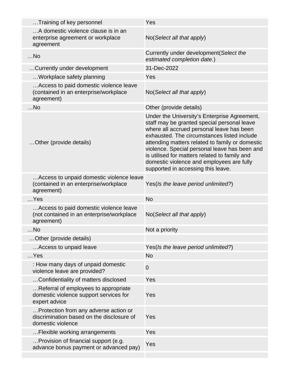| Training of key personnel                                                                               | Yes                                                                                                                                                                                                                                                                                                                                                                                                                             |
|---------------------------------------------------------------------------------------------------------|---------------------------------------------------------------------------------------------------------------------------------------------------------------------------------------------------------------------------------------------------------------------------------------------------------------------------------------------------------------------------------------------------------------------------------|
| A domestic violence clause is in an<br>enterprise agreement or workplace<br>agreement                   | No(Select all that apply)                                                                                                                                                                                                                                                                                                                                                                                                       |
| $$ No                                                                                                   | Currently under development (Select the<br>estimated completion date.)                                                                                                                                                                                                                                                                                                                                                          |
| Currently under development                                                                             | 31-Dec-2022                                                                                                                                                                                                                                                                                                                                                                                                                     |
| Workplace safety planning                                                                               | Yes                                                                                                                                                                                                                                                                                                                                                                                                                             |
| Access to paid domestic violence leave<br>(contained in an enterprise/workplace<br>agreement)           | No(Select all that apply)                                                                                                                                                                                                                                                                                                                                                                                                       |
| $$ No                                                                                                   | Other (provide details)                                                                                                                                                                                                                                                                                                                                                                                                         |
| Other (provide details)                                                                                 | Under the University's Enterprise Agreement,<br>staff may be granted special personal leave<br>where all accrued personal leave has been<br>exhausted. The circumstances listed include<br>attending matters related to family or domestic<br>violence. Special personal leave has been and<br>is utilised for matters related to family and<br>domestic violence and employees are fully<br>supported in accessing this leave. |
| Access to unpaid domestic violence leave<br>(contained in an enterprise/workplace<br>agreement)         | Yes(Is the leave period unlimited?)                                                                                                                                                                                                                                                                                                                                                                                             |
| $$ Yes                                                                                                  | <b>No</b>                                                                                                                                                                                                                                                                                                                                                                                                                       |
| Access to paid domestic violence leave<br>(not contained in an enterprise/workplace<br>agreement)       | No(Select all that apply)                                                                                                                                                                                                                                                                                                                                                                                                       |
| No                                                                                                      | Not a priority                                                                                                                                                                                                                                                                                                                                                                                                                  |
| Other (provide details)                                                                                 |                                                                                                                                                                                                                                                                                                                                                                                                                                 |
| Access to unpaid leave                                                                                  | Yes(Is the leave period unlimited?)                                                                                                                                                                                                                                                                                                                                                                                             |
| $$ Yes                                                                                                  | <b>No</b>                                                                                                                                                                                                                                                                                                                                                                                                                       |
| : How many days of unpaid domestic<br>violence leave are provided?                                      | $\mathbf 0$                                                                                                                                                                                                                                                                                                                                                                                                                     |
| Confidentiality of matters disclosed                                                                    | Yes                                                                                                                                                                                                                                                                                                                                                                                                                             |
| Referral of employees to appropriate<br>domestic violence support services for<br>expert advice         | Yes                                                                                                                                                                                                                                                                                                                                                                                                                             |
| Protection from any adverse action or<br>discrimination based on the disclosure of<br>domestic violence | Yes                                                                                                                                                                                                                                                                                                                                                                                                                             |
| Flexible working arrangements                                                                           | Yes                                                                                                                                                                                                                                                                                                                                                                                                                             |
| Provision of financial support (e.g.<br>advance bonus payment or advanced pay)                          | Yes                                                                                                                                                                                                                                                                                                                                                                                                                             |
|                                                                                                         |                                                                                                                                                                                                                                                                                                                                                                                                                                 |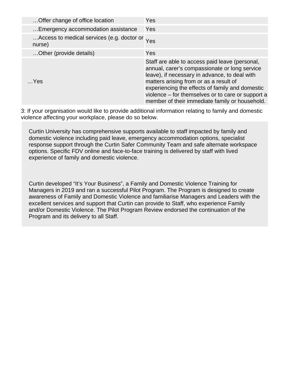| Offer change of office location                          | <b>Yes</b>                                                                                                                                                                                                                                                                                                                                           |
|----------------------------------------------------------|------------------------------------------------------------------------------------------------------------------------------------------------------------------------------------------------------------------------------------------------------------------------------------------------------------------------------------------------------|
| Emergency accommodation assistance                       | Yes                                                                                                                                                                                                                                                                                                                                                  |
| Access to medical services (e.g. doctor or Yes<br>nurse) |                                                                                                                                                                                                                                                                                                                                                      |
| Other (provide details)                                  | <b>Yes</b>                                                                                                                                                                                                                                                                                                                                           |
| $$ Yes                                                   | Staff are able to access paid leave (personal,<br>annual, carer's compassionate or long service<br>leave), if necessary in advance, to deal with<br>matters arising from or as a result of<br>experiencing the effects of family and domestic<br>violence – for themselves or to care or support a<br>member of their immediate family or household. |

3: If your organisation would like to provide additional information relating to family and domestic violence affecting your workplace, please do so below.

Curtin University has comprehensive supports available to staff impacted by family and domestic violence including paid leave, emergency accommodation options, specialist response support through the Curtin Safer Community Team and safe alternate workspace options. Specific FDV online and face-to-face training is delivered by staff with lived experience of family and domestic violence.

Curtin developed "It's Your Business", a Family and Domestic Violence Training for Managers in 2019 and ran a successful Pilot Program. The Program is designed to create awareness of Family and Domestic Violence and familiarise Managers and Leaders with the excellent services and support that Curtin can provide to Staff, who experience Family and/or Domestic Violence. The Pilot Program Review endorsed the continuation of the Program and its delivery to all Staff.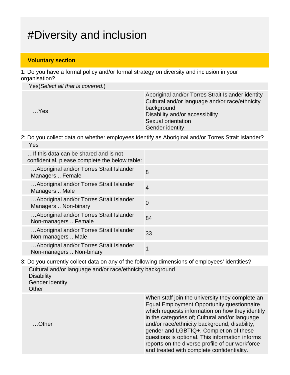## #Diversity and inclusion

#### **Voluntary section**

1: Do you have a formal policy and/or formal strategy on diversity and inclusion in your organisation?

Yes(Select all that is covered.)

| $$ Yes | Aboriginal and/or Torres Strait Islander identity<br>Cultural and/or language and/or race/ethnicity<br>background<br>Disability and/or accessibility<br>Sexual orientation<br><b>Gender identity</b> |
|--------|------------------------------------------------------------------------------------------------------------------------------------------------------------------------------------------------------|
|--------|------------------------------------------------------------------------------------------------------------------------------------------------------------------------------------------------------|

2: Do you collect data on whether employees identify as Aboriginal and/or Torres Strait Islander? Yes

| If this data can be shared and is not<br>confidential, please complete the below table: |                |
|-----------------------------------------------------------------------------------------|----------------|
| Aboriginal and/or Torres Strait Islander<br>Managers  Female                            | 8              |
| Aboriginal and/or Torres Strait Islander<br>Managers  Male                              | $\overline{4}$ |
| Aboriginal and/or Torres Strait Islander<br>Managers  Non-binary                        | $\overline{0}$ |
| Aboriginal and/or Torres Strait Islander<br>Non-managers  Female                        | 84             |
| Aboriginal and/or Torres Strait Islander<br>Non-managers  Male                          | 33             |
| Aboriginal and/or Torres Strait Islander<br>Non-managers  Non-binary                    |                |

3: Do you currently collect data on any of the following dimensions of employees' identities? Cultural and/or language and/or race/ethnicity background **Disability** Gender identity **Other** 

> When staff join the university they complete an Equal Employment Opportunity questionnaire which requests information on how they identify in the categories of; Cultural and/or language and/or race/ethnicity background, disability, gender and LGBTIQ+. Completion of these questions is optional. This information informs reports on the diverse profile of our workforce and treated with complete confidentiality.

…Other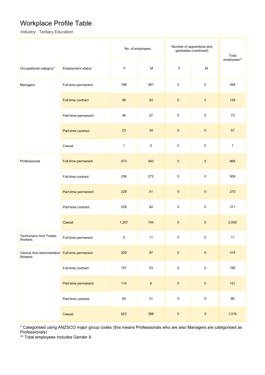### Workplace Profile Table

Industry: Tertiary Education

|                                                            |                          | No. of employees |                                                                                                            | Number of apprentices and<br>graduates (combined) |                     | Total        |
|------------------------------------------------------------|--------------------------|------------------|------------------------------------------------------------------------------------------------------------|---------------------------------------------------|---------------------|--------------|
| Occupational category*                                     | <b>Employment status</b> | $\mathsf F$      | $\mathsf{M}% _{T}=\mathsf{M}_{T}\!\left( a,b\right) ,\ \mathsf{M}_{T}=\mathsf{M}_{T}\!\left( a,b\right) ,$ | F                                                 | ${\sf M}$           | employees**  |
| Managers                                                   | Full-time permanent      | 198              | 261                                                                                                        | $\pmb{0}$                                         | $\pmb{0}$           | 459          |
|                                                            | Full-time contract       | 66               | 93                                                                                                         | $\pmb{0}$                                         | $\pmb{0}$           | 159          |
|                                                            | Part-time permanent      | 46               | 27                                                                                                         | $\pmb{0}$                                         | $\mathsf 0$         | 73           |
|                                                            | Part-time contract       | 23               | 34                                                                                                         | $\pmb{0}$                                         | $\pmb{0}$           | 57           |
|                                                            | Casual                   | $\mathbf{1}$     | $\pmb{0}$                                                                                                  | $\pmb{0}$                                         | $\pmb{0}$           | $\mathbf{1}$ |
| Professionals                                              | Full-time permanent      | 473              | 493                                                                                                        | $\pmb{0}$                                         | $\pmb{0}$           | 969          |
|                                                            | Full-time contract       | 236              | 272                                                                                                        | $\pmb{0}$                                         | $\pmb{0}$           | 509          |
|                                                            | Part-time permanent      | 229              | 41                                                                                                         | $\pmb{0}$                                         | $\pmb{0}$           | 270          |
|                                                            | Part-time contract       | 228              | 82                                                                                                         | $\pmb{0}$                                         | $\pmb{0}$           | 311          |
|                                                            | Casual                   | 1,307            | 744                                                                                                        | $\pmb{0}$                                         | $\pmb{0}$           | 2,059        |
| <b>Technicians And Trades</b><br>Workers                   | Full-time permanent      | 0                | 11                                                                                                         | 0                                                 | 0                   | 11           |
| Clerical And Administrative Full-time permanent<br>Workers |                          | 228              | 87                                                                                                         | $\pmb{0}$                                         | $\pmb{0}$           | 315          |
|                                                            | Full-time contract       | 107              | 53                                                                                                         | $\pmb{0}$                                         | $\mathsf{O}\xspace$ | 160          |
|                                                            | Part-time permanent      | 114              | $\mathbf 6$                                                                                                | $\pmb{0}$                                         | $\pmb{0}$           | $121$        |
|                                                            | Part-time contract       | 65               | 21                                                                                                         | $\pmb{0}$                                         | $\mathsf 0$         | 86           |
|                                                            | Casual                   | 623              | 388                                                                                                        | $\pmb{0}$                                         | $\pmb{0}$           | 1,016        |

\* Categorised using ANZSCO major group codes (this means Professionals who are also Managers are categorised as Professionals)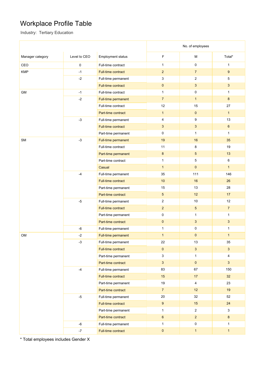### Workplace Profile Table

Industry: Tertiary Education

|                  |              |                           | No. of employees                    |                     |                 |
|------------------|--------------|---------------------------|-------------------------------------|---------------------|-----------------|
| Manager category | Level to CEO | <b>Employment status</b>  | F                                   | М                   | Total*          |
| CEO              | 0            | Full-time contract        | $\mathbf{1}$                        | $\mathsf{O}\xspace$ | $\mathbf{1}$    |
| <b>KMP</b>       | $-1$         | Full-time contract        | $\overline{c}$                      | $\overline{7}$      | 9               |
|                  | $-2$         | Full-time permanent       | 3                                   | $\sqrt{2}$          | 5               |
|                  |              | Full-time contract        | $\mathbf 0$                         | $\mathbf{3}$        | $\mathbf{3}$    |
| <b>GM</b>        | $-1$         | Full-time contract        | $\mathbf{1}$                        | $\mathbf 0$         | $\mathbf{1}$    |
|                  | $-2$         | Full-time permanent       | $\overline{7}$                      | $\mathbf{1}$        | 8               |
|                  |              | Full-time contract        | 12                                  | 15                  | 27              |
|                  |              | Part-time contract        | $\mathbf{1}$<br>$\mathsf{O}\xspace$ |                     | $\mathbf{1}$    |
|                  | $-3$         | Full-time permanent       | 4                                   | 9                   | 13              |
|                  |              | Full-time contract        | 3                                   | $\mathbf{3}$        | $6\phantom{.}$  |
|                  |              | Part-time permanent       | 0                                   |                     | $\mathbf{1}$    |
| SM               | $-3$         | Full-time permanent       | 19                                  | 16                  | 35              |
|                  |              | Full-time contract        | 11                                  | 8                   | 19              |
|                  |              | Part-time permanent       | $\bf 8$                             | $\sqrt{5}$          | 13              |
|                  |              | Part-time contract        | $\mathbf{1}$                        | $\,$ 5 $\,$         | 6               |
|                  |              | $\mathbf{1}$<br>Casual    |                                     | $\mathbf{0}$        | $\mathbf{1}$    |
|                  | $-4$         | Full-time permanent       | 35                                  | 111                 | 146             |
|                  |              | <b>Full-time contract</b> | 10                                  | 16                  | 26              |
|                  |              | Part-time permanent       | 15                                  | 13                  | 28              |
|                  |              | Part-time contract        | $\sqrt{5}$                          | 12                  | 17              |
|                  | $-5$         | Full-time permanent       | $\overline{c}$                      | 10                  | 12              |
|                  |              | Full-time contract        | $\overline{2}$                      | $\sqrt{5}$          | $\overline{7}$  |
|                  |              | Part-time permanent       | $\pmb{0}$                           | $\mathbf{1}$        | $\mathbf{1}$    |
|                  |              | Part-time contract        | $\mathbf 0$                         | $\mathbf{3}$        | $\mathbf{3}$    |
|                  | $-6$         | Full-time permanent       | $\mathbf{1}$                        | $\mathsf 0$         | 1               |
| <b>OM</b>        | $-2$         | Full-time permanent       | $\mathbf{1}$                        | $\mathbf{0}$        | $\mathbf{1}$    |
|                  | -3           | Full-time permanent       | 22                                  | 13                  | 35              |
|                  |              | Full-time contract        | $\mathbf 0$                         | $\mathbf{3}$        | $\overline{3}$  |
|                  |              | Part-time permanent       | $\mathbf{3}$                        | $\mathbf{1}$        | $\overline{4}$  |
|                  |              | Part-time contract        | $\mathbf{3}$                        | $\mathbf 0$         | $\mathbf{3}$    |
|                  | $-4$         | Full-time permanent       | 83                                  | 67                  | 150             |
|                  |              | Full-time contract        | 15                                  | 17                  | 32 <sub>2</sub> |
|                  |              | Part-time permanent       | 19                                  | $\overline{4}$      | 23              |
|                  |              | Part-time contract        | $\overline{7}$                      | 12                  | 19              |
|                  | $-5$         | Full-time permanent       | $20\,$                              | 32                  | 52              |
|                  |              | Full-time contract        | 9                                   | 15                  | 24              |
|                  |              | Part-time permanent       | 1                                   | $\overline{2}$      | 3               |
|                  |              | Part-time contract        | 6                                   | $\overline{2}$      | $8\phantom{1}$  |
|                  | $-6$         | Full-time permanent       | $\mathbf{1}$                        | $\mathsf 0$         | $\mathbf{1}$    |
|                  | $-7$         | Full-time contract        | $\pmb{0}$                           | $\mathbf{1}$        | $\mathbf{1}$    |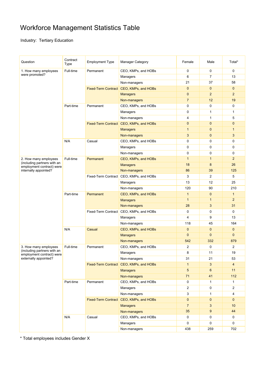### Workforce Management Statistics Table

Industry: Tertiary Education

| Question                                                 | Contract<br>Type | <b>Employment Type</b>                  | <b>Manager Category</b>                 | Female         | Male           | Total*         |
|----------------------------------------------------------|------------------|-----------------------------------------|-----------------------------------------|----------------|----------------|----------------|
| 1. How many employees                                    | Full-time        | Permanent                               | CEO, KMPs, and HOBs                     | $\mathbf 0$    | 0              | $\mathbf 0$    |
| were promoted?                                           |                  |                                         | Managers                                | 6              | $\overline{7}$ | 13             |
|                                                          |                  |                                         | Non-managers                            | 21             | 37             | 58             |
|                                                          |                  |                                         | Fixed-Term Contract CEO, KMPs, and HOBs | $\mathbf{0}$   | $\mathbf 0$    | $\mathbf{0}$   |
|                                                          |                  |                                         | <b>Managers</b>                         | $\mathbf{0}$   | $\overline{2}$ | $\overline{2}$ |
|                                                          |                  |                                         | Non-managers                            | $\overline{7}$ | 12             | 19             |
|                                                          | Part-time        | Permanent                               | CEO, KMPs, and HOBs                     | 0              | 0              | 0              |
|                                                          |                  |                                         | Managers                                | $\mathbf 0$    | $\mathbf{1}$   | $\mathbf{1}$   |
|                                                          |                  |                                         | Non-managers                            | 4              | $\mathbf{1}$   | 5              |
|                                                          |                  |                                         | Fixed-Term Contract CEO, KMPs, and HOBs | $\mathbf{0}$   | $\mathbf{0}$   | $\mathbf{0}$   |
|                                                          |                  |                                         | <b>Managers</b>                         | $\mathbf{1}$   | $\mathbf 0$    | $\mathbf{1}$   |
|                                                          |                  |                                         | Non-managers                            | 3              | $\mathbf 0$    | 3              |
|                                                          | N/A              | Casual                                  | CEO, KMPs, and HOBs                     | 0              | 0              | $\pmb{0}$      |
|                                                          |                  |                                         | Managers                                | $\mathbf 0$    | 0              | $\mathbf 0$    |
|                                                          |                  |                                         | Non-managers                            | 0              | 0              | 0              |
| 2. How many employees                                    | Full-time        | Permanent                               | CEO, KMPs, and HOBs                     | $\mathbf{1}$   | $\mathbf{1}$   | $\overline{2}$ |
| (including partners with an<br>employment contract) were |                  |                                         | <b>Managers</b>                         | 18             | 8              | 26             |
| internally appointed?                                    |                  |                                         | Non-managers                            | 86             | 39             | 125            |
|                                                          |                  |                                         | Fixed-Term Contract CEO, KMPs, and HOBs | 3              | $\overline{2}$ | 5              |
|                                                          |                  |                                         | Managers                                | 13             | 12             | 25             |
|                                                          |                  |                                         | Non-managers                            | 120            | 90             | 210            |
|                                                          | Part-time        | Permanent                               | CEO, KMPs, and HOBs                     | $\mathbf{1}$   | $\mathbf 0$    | $\mathbf{1}$   |
|                                                          |                  |                                         | <b>Managers</b>                         | $\mathbf{1}$   | $\mathbf{1}$   | $\overline{2}$ |
|                                                          |                  |                                         | Non-managers                            | 28             | 3              | 31             |
|                                                          |                  |                                         | Fixed-Term Contract CEO, KMPs, and HOBs | $\mathbf 0$    | 0              | 0              |
|                                                          |                  |                                         | Managers                                | $\overline{4}$ | 9              | 13             |
|                                                          |                  |                                         | Non-managers                            | 118            | 45             | 164            |
|                                                          | N/A              | Casual                                  | CEO, KMPs, and HOBs                     | $\mathbf{0}$   | $\mathbf 0$    | $\mathbf{0}$   |
|                                                          |                  |                                         | <b>Managers</b>                         | $\mathbf{0}$   | $\mathbf{0}$   | $\mathbf{0}$   |
|                                                          |                  |                                         | Non-managers                            | 542            | 332            | 879            |
| 3. How many employees                                    | Full-time        | Permanent                               | CEO, KMPs, and HOBs                     | $\overline{2}$ | 0              | $\overline{2}$ |
| (including partners with an                              |                  |                                         | Managers                                | 8              | 11             | 19             |
| employment contract) were<br>externally appointed?       |                  |                                         | Non-managers                            | 31             | 21             | 53             |
|                                                          |                  | Fixed-Term Contract CEO, KMPs, and HOBs |                                         | $\mathbf{1}$   | 3              | $\overline{4}$ |
|                                                          |                  |                                         | <b>Managers</b>                         | 5              | 6              | 11             |
|                                                          |                  |                                         | Non-managers                            | 71             | 41             | 112            |
|                                                          | Part-time        | Permanent                               | CEO, KMPs, and HOBs                     | 0              | 1              | $\mathbf{1}$   |
|                                                          |                  |                                         | Managers                                | 2              | 0              | $\overline{2}$ |
|                                                          |                  |                                         | Non-managers                            | 3              | $\mathbf{1}$   | 4              |
|                                                          |                  | Fixed-Term Contract CEO, KMPs, and HOBs |                                         | $\mathbf 0$    | $\mathbf 0$    | $\mathbf{0}$   |
|                                                          |                  |                                         | <b>Managers</b>                         | $\overline{7}$ | $\mathbf{3}$   | 10             |
|                                                          |                  |                                         |                                         | 35             | 9              | 44             |
|                                                          |                  |                                         | Non-managers                            | 0              | 0              | 0              |
|                                                          | N/A              | Casual                                  | CEO, KMPs, and HOBs                     |                |                |                |
|                                                          |                  |                                         | Managers                                | 0              | 0              | 0              |
|                                                          |                  |                                         | Non-managers                            | 438            | 259            | 702            |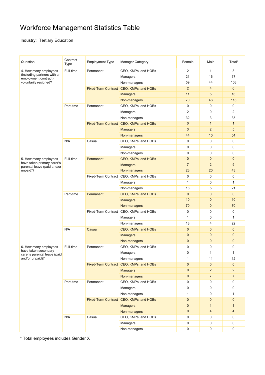### Workforce Management Statistics Table

Industry: Tertiary Education

| Question                                                                                              | Contract<br>Type | <b>Employment Type</b>                  | <b>Manager Category</b>                 | Female         | Male                     | Total*         |
|-------------------------------------------------------------------------------------------------------|------------------|-----------------------------------------|-----------------------------------------|----------------|--------------------------|----------------|
| 4. How many employees<br>(including partners with an<br>employment contract)<br>voluntarily resigned? | Full-time        | Permanent                               | CEO, KMPs, and HOBs                     | $\overline{2}$ | $\mathbf{1}$             | 3              |
|                                                                                                       |                  |                                         | Managers                                | 21             | 16                       | 37             |
|                                                                                                       |                  |                                         | Non-managers                            | 59             | 44                       | 103            |
|                                                                                                       |                  |                                         | Fixed-Term Contract CEO, KMPs, and HOBs | 2              | $\overline{4}$           | 6              |
|                                                                                                       |                  |                                         | <b>Managers</b>                         | 11             | 5                        | 16             |
|                                                                                                       |                  |                                         | Non-managers                            | 70             | 46                       | 116            |
|                                                                                                       | Part-time        | Permanent                               | CEO, KMPs, and HOBs                     | 0              | 0                        | 0              |
|                                                                                                       |                  |                                         | Managers                                | $\overline{2}$ | 0                        | $\overline{2}$ |
|                                                                                                       |                  |                                         | Non-managers                            | 32             | 3                        | 35             |
|                                                                                                       |                  |                                         | Fixed-Term Contract CEO, KMPs, and HOBs | $\mathbf{0}$   | $\mathbf{1}$             | $\mathbf{1}$   |
|                                                                                                       |                  |                                         | <b>Managers</b>                         | 3              | $\overline{2}$           | 5              |
|                                                                                                       |                  |                                         | Non-managers                            | 44             | 10                       | 54             |
|                                                                                                       | N/A              | Casual                                  | CEO, KMPs, and HOBs                     | 0              | 0                        | 0              |
|                                                                                                       |                  |                                         | Managers                                | $\mathbf 0$    | 0                        | $\mathbf 0$    |
|                                                                                                       |                  |                                         | Non-managers                            | $\mathbf 0$    | 0                        | $\mathbf 0$    |
| 5. How many employees                                                                                 | Full-time        | Permanent                               | CEO, KMPs, and HOBs                     | $\mathbf{0}$   | $\mathbf{0}$             | $\mathbf{0}$   |
| have taken primary carer's                                                                            |                  |                                         | <b>Managers</b>                         | $\overline{7}$ | $\overline{2}$           | 9              |
| parental leave (paid and/or<br>unpaid)?                                                               |                  |                                         | Non-managers                            | 23             | 20                       | 43             |
|                                                                                                       |                  |                                         | Fixed-Term Contract CEO, KMPs, and HOBs | $\mathbf 0$    | 0                        | $\mathbf 0$    |
|                                                                                                       |                  |                                         | Managers                                | $\mathbf{1}$   | 0                        | $\mathbf{1}$   |
|                                                                                                       |                  |                                         | Non-managers                            | 16             | 5                        | 21             |
|                                                                                                       | Part-time        | Permanent                               | CEO, KMPs, and HOBs                     | $\mathbf{0}$   | $\mathbf 0$              | $\mathbf 0$    |
|                                                                                                       |                  |                                         | <b>Managers</b>                         | 10             | $\mathbf 0$              | 10             |
|                                                                                                       |                  |                                         | Non-managers                            | 70             | $\mathbf 0$              | 70             |
|                                                                                                       |                  | Fixed-Term Contract CEO, KMPs, and HOBs |                                         | $\mathbf 0$    | 0                        | 0              |
|                                                                                                       |                  |                                         | Managers                                | 1              | 0                        | $\mathbf{1}$   |
|                                                                                                       |                  |                                         | Non-managers                            | 18             | 4                        | 22             |
|                                                                                                       | N/A              | Casual                                  | CEO, KMPs, and HOBs                     | $\mathbf{0}$   | $\mathbf 0$              | $\mathbf{0}$   |
|                                                                                                       |                  |                                         | <b>Managers</b>                         | $\mathbf{0}$   | $\mathbf{0}$             | $\mathbf{0}$   |
|                                                                                                       |                  |                                         | Non-managers                            | $\mathbf{0}$   | $\mathbf 0$              | $\mathbf{0}$   |
| 6. How many employees                                                                                 | Full-time        | Permanent                               | CEO, KMPs, and HOBs                     | 0              | 0                        | 0              |
| have taken secondary                                                                                  |                  |                                         | Managers                                | $\mathbf 0$    | 1                        | $\mathbf{1}$   |
| carer's parental leave (paid<br>and/or unpaid)?                                                       |                  |                                         | Non-managers                            | 1              | 11                       | 12             |
|                                                                                                       |                  | Fixed-Term Contract CEO, KMPs, and HOBs |                                         | $\mathbf{0}$   | $\mathbf 0$              | $\mathbf 0$    |
|                                                                                                       |                  |                                         | <b>Managers</b>                         | $\mathbf{0}$   | $\overline{c}$           | $\overline{2}$ |
|                                                                                                       |                  |                                         | Non-managers                            | $\pmb{0}$      | $\overline{7}$           | $\overline{7}$ |
|                                                                                                       | Part-time        | Permanent                               | CEO, KMPs, and HOBs                     | 0              | 0                        | 0              |
|                                                                                                       |                  |                                         | Managers                                | 0              | 0                        | 0              |
|                                                                                                       |                  |                                         | Non-managers                            | $\mathbf{1}$   | 0                        | 1              |
|                                                                                                       |                  | Fixed-Term Contract CEO, KMPs, and HOBs |                                         | $\mathbf 0$    | $\mathbf 0$              | $\mathbf 0$    |
|                                                                                                       |                  |                                         | <b>Managers</b>                         | $\mathbf{0}$   | $\mathbf{1}$             | $\mathbf{1}$   |
|                                                                                                       |                  |                                         | Non-managers                            | $\mathbf{0}$   | $\overline{\mathcal{A}}$ | $\overline{4}$ |
|                                                                                                       | N/A              | Casual                                  | CEO, KMPs, and HOBs                     | 0              | 0                        | 0              |
|                                                                                                       |                  |                                         | Managers                                | 0              | 0                        | 0              |
|                                                                                                       |                  |                                         |                                         | 0              |                          | 0              |
|                                                                                                       |                  |                                         | Non-managers                            |                | 0                        |                |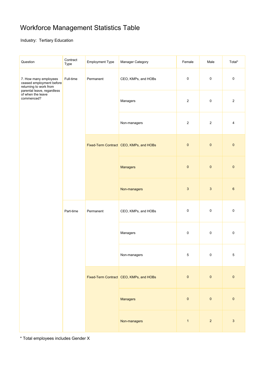### Workforce Management Statistics Table

#### Industry: Tertiary Education

| Question                                                                                                                                     | Contract<br>Type | <b>Employment Type</b> | Manager Category                        | Female         | Male                      | Total*           |
|----------------------------------------------------------------------------------------------------------------------------------------------|------------------|------------------------|-----------------------------------------|----------------|---------------------------|------------------|
| 7. How many employees<br>ceased employment before<br>returning to work from<br>parental leave, regardless<br>of when the leave<br>commenced? | Full-time        | Permanent              | CEO, KMPs, and HOBs                     | $\pmb{0}$      | $\pmb{0}$                 | $\pmb{0}$        |
|                                                                                                                                              |                  |                        | Managers                                | $\overline{c}$ | $\pmb{0}$                 | $\sqrt{2}$       |
|                                                                                                                                              |                  |                        | Non-managers                            | $\overline{c}$ | $\overline{2}$            | 4                |
|                                                                                                                                              |                  |                        | Fixed-Term Contract CEO, KMPs, and HOBs | $\pmb{0}$      | $\pmb{0}$                 | $\pmb{0}$        |
|                                                                                                                                              |                  |                        | Managers                                | $\pmb{0}$      | $\pmb{0}$                 | $\pmb{0}$        |
|                                                                                                                                              |                  |                        | Non-managers                            | 3              | $\ensuremath{\mathsf{3}}$ | $\boldsymbol{6}$ |
|                                                                                                                                              | Part-time        | Permanent              | CEO, KMPs, and HOBs                     | 0              | $\pmb{0}$                 | $\pmb{0}$        |
|                                                                                                                                              |                  |                        | Managers                                | $\pmb{0}$      | $\pmb{0}$                 | $\pmb{0}$        |
|                                                                                                                                              |                  |                        | Non-managers                            | 5              | $\Omega$                  | 5                |
|                                                                                                                                              |                  |                        | Fixed-Term Contract CEO, KMPs, and HOBs | $\pmb{0}$      | $\pmb{0}$                 | $\pmb{0}$        |
|                                                                                                                                              |                  |                        | Managers                                | $\pmb{0}$      | $\pmb{0}$                 | $\pmb{0}$        |
|                                                                                                                                              |                  |                        | Non-managers                            | $\mathbf{1}$   | $\overline{2}$            | $\mathbf{3}$     |